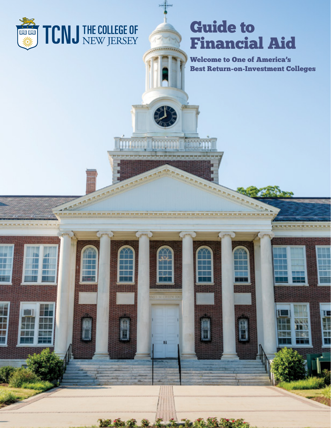

ш

# Guide to Financial Aid

**Ranch** 

n

*CONTRACTOR* 

Welcome to One of America's Best Return-on-Investment Colleges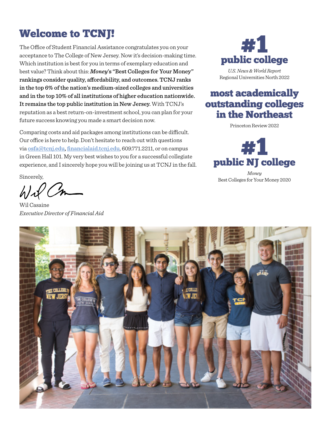# Welcome to TCNJ!

The Office of Student Financial Assistance congratulates you on your acceptance to The College of New Jersey. Now it's decision-making time. Which institution is best for you in terms of exemplary education and best value? Think about this: *Money*'s "Best Colleges for Your Money" rankings consider quality, affordability, and outcomes. TCNJ ranks in the top 6% of the nation's medium-sized colleges and universities and in the top 10% of all institutions of higher education nationwide. It remains the top public institution in New Jersey. With TCNJ's reputation as a best return-on-investment school, you can plan for your future success knowing you made a smart decision now.

Comparing costs and aid packages among institutions can be difficult. Our office is here to help. Don't hesitate to reach out with questions via osfa@tcnj.edu, [financialaid.tcnj.edu](http://financialaid.tcnj.edu), 609.771.2211, or on campus in Green Hall 101. My very best wishes to you for a successful collegiate experience, and I sincerely hope you will be joining us at TCNJ in the fall.

Sincerely,

Wil Casaine *Executive Director of Financial Aid*



Regional Universities North 2022

### most academically outstanding colleges in the Northeast

Princeton Review 2022



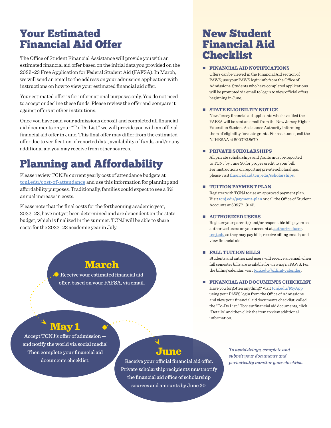## Your Estimated Financial Aid Offer

The Office of Student Financial Assistance will provide you with an estimated financial aid offer based on the initial data you provided on the 2022–23 Free Application for Federal Student Aid (FAFSA). In March, we will send an email to the address on your admission application with instructions on how to view your estimated financial aid offer.

Your estimated offer is for informational purposes only. You do not need to accept or decline these funds. Please review the offer and compare it against offers at other institutions.

Once you have paid your admissions deposit and completed all financial aid documents on your "To-Do List," we will provide you with an official financial aid offer in June. This final offer may differ from the estimated offer due to verification of reported data, availability of funds, and/or any additional aid you may receive from other sources.

# Planning and Affordability

Please review TCNJ's current yearly cost of attendance budgets at [tcnj.edu/cost-of-attendance](https://financialaid.tcnj.edu/about/cost-of-attendance/) and use this information for planning and affordability purposes. Traditionally, families could expect to see a 3% annual increase in costs.

Please note that the final costs for the forthcoming academic year, 2022–23, have not yet been determined and are dependent on the state budget, which is finalized in the summer. TCNJ will be able to share costs for the 2022–23 academic year in July.

### March

Receive your estimated financial aid offer, based on your FAFSA, via email.

### New Student Financial Aid Checklist

#### **FINANCIAL AID NOTIFICATIONS**

Offers can be viewed in the Financial Aid section of PAWS; use your PAWS login info from the Office of Admissions. Students who have completed applications will be prompted via email to log in to view official offers beginning in June.

#### **STATE ELIGIBILITY NOTICE**

New Jersey financial aid applicants who have filed the FAFSA will be sent an email from the New Jersey Higher Education Student Assistance Authority informing them of eligibility for state grants. For assistance, call the NJHESAA at 800.792.8670.

#### **PRIVATE SCHOLARSHIPS**

All private scholarships and grants must be reported to TCNJ by June 30 for proper credit to your bill. For instructions on reporting private scholarships, please visit [financialaid.tcnj.edu/scholarships](http://financialaid.tcnj.edu/scholarships).

#### **TUITION PAYMENT PLAN**

Register with TCNJ to use an approved payment plan. Visit [tcnj.edu/payment-plan](https://studentaccounts.tcnj.edu/billing/bill-payment-options/installment-payment-plan/) or call the Office of Student Accounts at 609.771.3145.

#### **AUTHORIZED USERS**

Register your parent(s) and/or responsible bill payers as authorized users on your account at [authorizeduser.](https://authorizeduser.tcnj.edu/) [tcnj.edu](https://authorizeduser.tcnj.edu/) so they may pay bills, receive billing emails, and view financial aid.

#### **FALL TUITION BILLS**

Students and authorized users will receive an email when fall semester bills are available for viewing in PAWS. For the billing calendar, visit tonj.edu/billing-calendar.

#### **FINANCIAL AID DOCUMENTS CHECKLIST**

Have you forgotten anything? Visit [tcnj.edu/MyApp](https://admissions.tcnj.edu/applicationstatus/) using your PAWS login from the Office of Admissions and view your financial aid documents checklist, called the "To-Do List." To view financial aid documents, click "Details" and then click the item to view additional information.

### May 1

Accept TCNJ's offer of admission and notify the world via social media! Then complete your financial aid documents checklist.

### June

Receive your official financial aid offer. Private scholarship recipients must notify the financial aid office of scholarship sources and amounts by June 30.

*To avoid delays, complete and submit your documents and periodically monitor your checklist.*